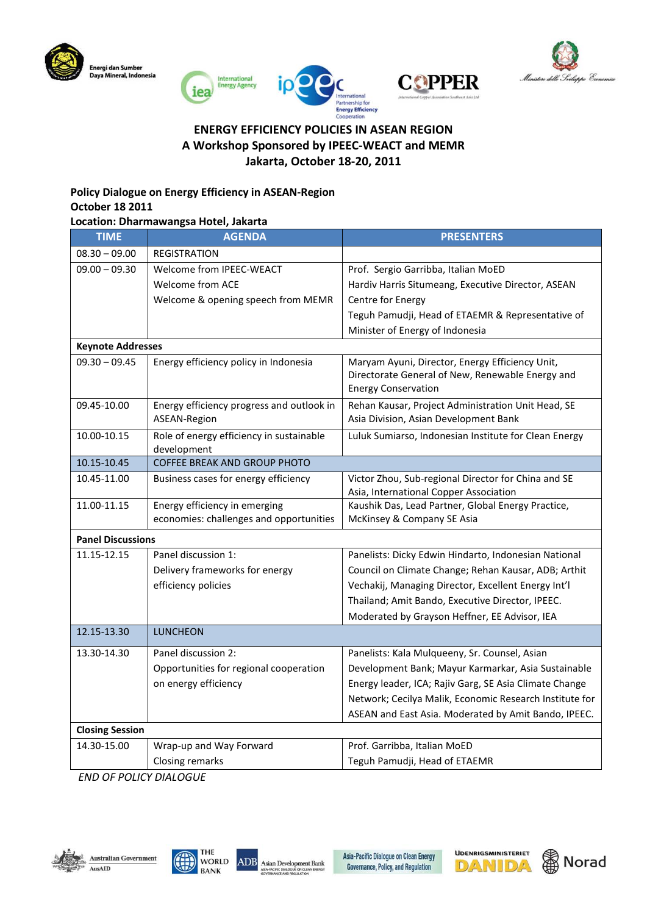







# **ENERGY EFFICIENCY POLICIES IN ASEAN REGION A Workshop Sponsored by IPEEC-WEACT and MEMR Jakarta, October 18-20, 2011**

### **Policy Dialogue on Energy Efficiency in ASEAN-Region October 18 2011**

### **Location: Dharmawangsa Hotel, Jakarta**

| $08.30 - 09.00$<br><b>REGISTRATION</b><br>$09.00 - 09.30$<br>Welcome from IPEEC-WEACT<br>Prof. Sergio Garribba, Italian MoED<br><b>Welcome from ACE</b><br>Hardiv Harris Situmeang, Executive Director, ASEAN<br>Welcome & opening speech from MEMR<br>Centre for Energy<br>Teguh Pamudji, Head of ETAEMR & Representative of<br>Minister of Energy of Indonesia<br><b>Keynote Addresses</b><br>$09.30 - 09.45$<br>Energy efficiency policy in Indonesia<br>Maryam Ayuni, Director, Energy Efficiency Unit, |  |
|-------------------------------------------------------------------------------------------------------------------------------------------------------------------------------------------------------------------------------------------------------------------------------------------------------------------------------------------------------------------------------------------------------------------------------------------------------------------------------------------------------------|--|
|                                                                                                                                                                                                                                                                                                                                                                                                                                                                                                             |  |
|                                                                                                                                                                                                                                                                                                                                                                                                                                                                                                             |  |
|                                                                                                                                                                                                                                                                                                                                                                                                                                                                                                             |  |
|                                                                                                                                                                                                                                                                                                                                                                                                                                                                                                             |  |
|                                                                                                                                                                                                                                                                                                                                                                                                                                                                                                             |  |
|                                                                                                                                                                                                                                                                                                                                                                                                                                                                                                             |  |
|                                                                                                                                                                                                                                                                                                                                                                                                                                                                                                             |  |
| Directorate General of New, Renewable Energy and                                                                                                                                                                                                                                                                                                                                                                                                                                                            |  |
| <b>Energy Conservation</b>                                                                                                                                                                                                                                                                                                                                                                                                                                                                                  |  |
| Rehan Kausar, Project Administration Unit Head, SE<br>09.45-10.00<br>Energy efficiency progress and outlook in                                                                                                                                                                                                                                                                                                                                                                                              |  |
| Asia Division, Asian Development Bank<br>ASEAN-Region                                                                                                                                                                                                                                                                                                                                                                                                                                                       |  |
| 10.00-10.15<br>Role of energy efficiency in sustainable<br>Luluk Sumiarso, Indonesian Institute for Clean Energy<br>development                                                                                                                                                                                                                                                                                                                                                                             |  |
| COFFEE BREAK AND GROUP PHOTO<br>10.15-10.45                                                                                                                                                                                                                                                                                                                                                                                                                                                                 |  |
| Victor Zhou, Sub-regional Director for China and SE<br>10.45-11.00<br>Business cases for energy efficiency<br>Asia, International Copper Association                                                                                                                                                                                                                                                                                                                                                        |  |
| 11.00-11.15<br>Energy efficiency in emerging<br>Kaushik Das, Lead Partner, Global Energy Practice,                                                                                                                                                                                                                                                                                                                                                                                                          |  |
| economies: challenges and opportunities<br>McKinsey & Company SE Asia                                                                                                                                                                                                                                                                                                                                                                                                                                       |  |
| <b>Panel Discussions</b>                                                                                                                                                                                                                                                                                                                                                                                                                                                                                    |  |
| 11.15-12.15<br>Panel discussion 1:<br>Panelists: Dicky Edwin Hindarto, Indonesian National                                                                                                                                                                                                                                                                                                                                                                                                                  |  |
| Council on Climate Change; Rehan Kausar, ADB; Arthit<br>Delivery frameworks for energy                                                                                                                                                                                                                                                                                                                                                                                                                      |  |
| efficiency policies<br>Vechakij, Managing Director, Excellent Energy Int'l                                                                                                                                                                                                                                                                                                                                                                                                                                  |  |
| Thailand; Amit Bando, Executive Director, IPEEC.                                                                                                                                                                                                                                                                                                                                                                                                                                                            |  |
| Moderated by Grayson Heffner, EE Advisor, IEA                                                                                                                                                                                                                                                                                                                                                                                                                                                               |  |
| 12.15-13.30<br><b>LUNCHEON</b>                                                                                                                                                                                                                                                                                                                                                                                                                                                                              |  |
| 13.30-14.30<br>Panel discussion 2:<br>Panelists: Kala Mulqueeny, Sr. Counsel, Asian                                                                                                                                                                                                                                                                                                                                                                                                                         |  |
| Opportunities for regional cooperation<br>Development Bank; Mayur Karmarkar, Asia Sustainable                                                                                                                                                                                                                                                                                                                                                                                                               |  |
| on energy efficiency<br>Energy leader, ICA; Rajiv Garg, SE Asia Climate Change                                                                                                                                                                                                                                                                                                                                                                                                                              |  |
| Network; Cecilya Malik, Economic Research Institute for                                                                                                                                                                                                                                                                                                                                                                                                                                                     |  |
| ASEAN and East Asia. Moderated by Amit Bando, IPEEC.                                                                                                                                                                                                                                                                                                                                                                                                                                                        |  |
| <b>Closing Session</b>                                                                                                                                                                                                                                                                                                                                                                                                                                                                                      |  |
| Prof. Garribba, Italian MoED<br>14.30-15.00<br>Wrap-up and Way Forward                                                                                                                                                                                                                                                                                                                                                                                                                                      |  |
| Teguh Pamudji, Head of ETAEMR<br>Closing remarks                                                                                                                                                                                                                                                                                                                                                                                                                                                            |  |

*END OF POLICY DIALOGUE*







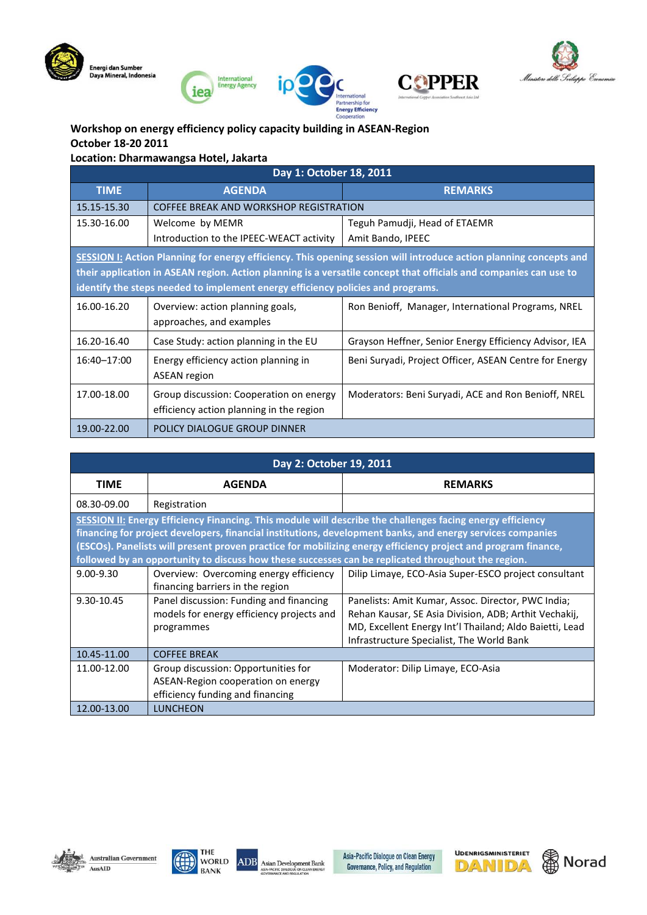





**COPPER** 



## **Workshop on energy efficiency policy capacity building in ASEAN-Region October 18-20 2011**

**Location: Dharmawangsa Hotel, Jakarta**

| Day 1: October 18, 2011                                                                                            |                                          |                                                        |
|--------------------------------------------------------------------------------------------------------------------|------------------------------------------|--------------------------------------------------------|
| <b>TIME</b>                                                                                                        | <b>AGENDA</b>                            | <b>REMARKS</b>                                         |
| 15.15-15.30                                                                                                        | COFFEE BREAK AND WORKSHOP REGISTRATION   |                                                        |
| 15.30-16.00                                                                                                        | Welcome by MEMR                          | Teguh Pamudji, Head of ETAEMR                          |
|                                                                                                                    | Introduction to the IPEEC-WEACT activity | Amit Bando, IPEEC                                      |
| SESSION I: Action Planning for energy efficiency. This opening session will introduce action planning concepts and |                                          |                                                        |
| their application in ASEAN region. Action planning is a versatile concept that officials and companies can use to  |                                          |                                                        |
| identify the steps needed to implement energy efficiency policies and programs.                                    |                                          |                                                        |
| 16.00-16.20                                                                                                        | Overview: action planning goals,         | Ron Benioff, Manager, International Programs, NREL     |
|                                                                                                                    | approaches, and examples                 |                                                        |
| 16.20-16.40                                                                                                        | Case Study: action planning in the EU    | Grayson Heffner, Senior Energy Efficiency Advisor, IEA |
| 16:40-17:00                                                                                                        | Energy efficiency action planning in     | Beni Suryadi, Project Officer, ASEAN Centre for Energy |
|                                                                                                                    | <b>ASEAN</b> region                      |                                                        |
| 17.00-18.00                                                                                                        | Group discussion: Cooperation on energy  | Moderators: Beni Suryadi, ACE and Ron Benioff, NREL    |
|                                                                                                                    | efficiency action planning in the region |                                                        |
| 19.00-22.00                                                                                                        | POLICY DIALOGUE GROUP DINNER             |                                                        |

| Day 2: October 19, 2011                                                                                                                                                                                                                                                                                                                                                                                                                         |                                                                                                               |                                                                                                                                                                                                                     |
|-------------------------------------------------------------------------------------------------------------------------------------------------------------------------------------------------------------------------------------------------------------------------------------------------------------------------------------------------------------------------------------------------------------------------------------------------|---------------------------------------------------------------------------------------------------------------|---------------------------------------------------------------------------------------------------------------------------------------------------------------------------------------------------------------------|
| <b>TIME</b>                                                                                                                                                                                                                                                                                                                                                                                                                                     | <b>AGENDA</b>                                                                                                 | <b>REMARKS</b>                                                                                                                                                                                                      |
| 08.30-09.00                                                                                                                                                                                                                                                                                                                                                                                                                                     | Registration                                                                                                  |                                                                                                                                                                                                                     |
| SESSION II: Energy Efficiency Financing. This module will describe the challenges facing energy efficiency<br>financing for project developers, financial institutions, development banks, and energy services companies<br>(ESCOs). Panelists will present proven practice for mobilizing energy efficiency project and program finance,<br>followed by an opportunity to discuss how these successes can be replicated throughout the region. |                                                                                                               |                                                                                                                                                                                                                     |
| $9.00 - 9.30$                                                                                                                                                                                                                                                                                                                                                                                                                                   | Overview: Overcoming energy efficiency<br>financing barriers in the region                                    | Dilip Limaye, ECO-Asia Super-ESCO project consultant                                                                                                                                                                |
| 9.30-10.45                                                                                                                                                                                                                                                                                                                                                                                                                                      | Panel discussion: Funding and financing<br>models for energy efficiency projects and<br>programmes            | Panelists: Amit Kumar, Assoc. Director, PWC India;<br>Rehan Kausar, SE Asia Division, ADB; Arthit Vechakij,<br>MD, Excellent Energy Int'l Thailand; Aldo Baietti, Lead<br>Infrastructure Specialist, The World Bank |
| 10.45-11.00                                                                                                                                                                                                                                                                                                                                                                                                                                     | <b>COFFEE BREAK</b>                                                                                           |                                                                                                                                                                                                                     |
| 11.00-12.00                                                                                                                                                                                                                                                                                                                                                                                                                                     | Group discussion: Opportunities for<br>ASEAN-Region cooperation on energy<br>efficiency funding and financing | Moderator: Dilip Limaye, ECO-Asia                                                                                                                                                                                   |
| 12.00-13.00                                                                                                                                                                                                                                                                                                                                                                                                                                     | <b>LUNCHEON</b>                                                                                               |                                                                                                                                                                                                                     |





Asia-Pacific Dialogue on Clean Energy Governance, Policy, and Regulation



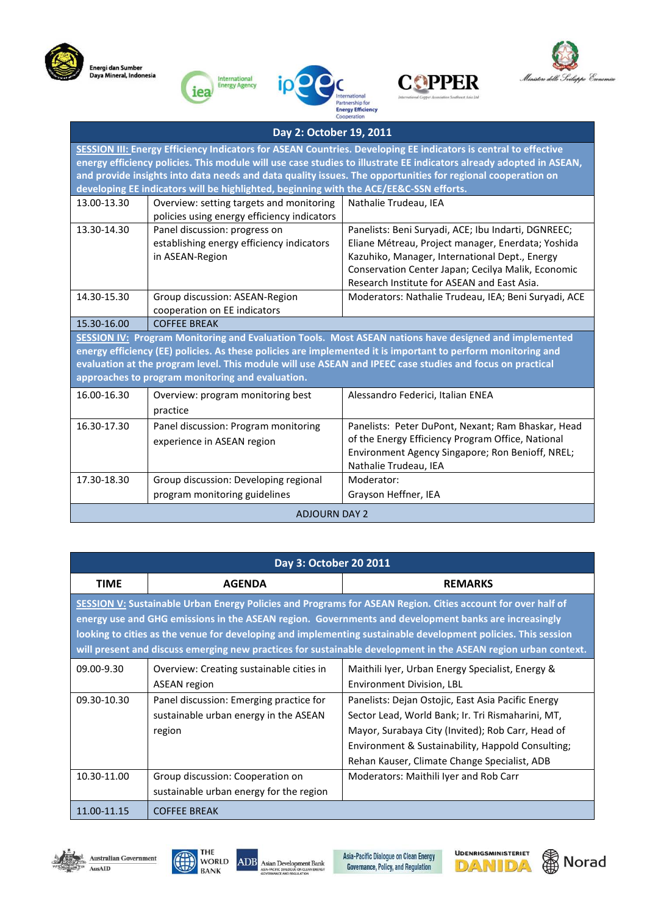









| Day 2: October 19, 2011                                                                                                                                                                                                                                                                                                                                                                                                                         |                                                                                               |                                                                                                                                                                                                                                                                  |
|-------------------------------------------------------------------------------------------------------------------------------------------------------------------------------------------------------------------------------------------------------------------------------------------------------------------------------------------------------------------------------------------------------------------------------------------------|-----------------------------------------------------------------------------------------------|------------------------------------------------------------------------------------------------------------------------------------------------------------------------------------------------------------------------------------------------------------------|
| SESSION III: Energy Efficiency Indicators for ASEAN Countries. Developing EE indicators is central to effective<br>energy efficiency policies. This module will use case studies to illustrate EE indicators already adopted in ASEAN,<br>and provide insights into data needs and data quality issues. The opportunities for regional cooperation on<br>developing EE indicators will be highlighted, beginning with the ACE/EE&C-SSN efforts. |                                                                                               |                                                                                                                                                                                                                                                                  |
| 13.00-13.30                                                                                                                                                                                                                                                                                                                                                                                                                                     | Overview: setting targets and monitoring<br>policies using energy efficiency indicators       | Nathalie Trudeau, IEA                                                                                                                                                                                                                                            |
| 13.30-14.30                                                                                                                                                                                                                                                                                                                                                                                                                                     | Panel discussion: progress on<br>establishing energy efficiency indicators<br>in ASEAN-Region | Panelists: Beni Suryadi, ACE; Ibu Indarti, DGNREEC;<br>Eliane Métreau, Project manager, Enerdata; Yoshida<br>Kazuhiko, Manager, International Dept., Energy<br>Conservation Center Japan; Cecilya Malik, Economic<br>Research Institute for ASEAN and East Asia. |
| 14.30-15.30                                                                                                                                                                                                                                                                                                                                                                                                                                     | Group discussion: ASEAN-Region<br>cooperation on EE indicators                                | Moderators: Nathalie Trudeau, IEA; Beni Suryadi, ACE                                                                                                                                                                                                             |
| 15.30-16.00                                                                                                                                                                                                                                                                                                                                                                                                                                     | <b>COFFEE BREAK</b>                                                                           |                                                                                                                                                                                                                                                                  |
| SESSION IV: Program Monitoring and Evaluation Tools. Most ASEAN nations have designed and implemented<br>energy efficiency (EE) policies. As these policies are implemented it is important to perform monitoring and<br>evaluation at the program level. This module will use ASEAN and IPEEC case studies and focus on practical<br>approaches to program monitoring and evaluation.                                                          |                                                                                               |                                                                                                                                                                                                                                                                  |
| 16.00-16.30                                                                                                                                                                                                                                                                                                                                                                                                                                     | Overview: program monitoring best<br>practice                                                 | Alessandro Federici, Italian ENEA                                                                                                                                                                                                                                |
| 16.30-17.30                                                                                                                                                                                                                                                                                                                                                                                                                                     | Panel discussion: Program monitoring<br>experience in ASEAN region                            | Panelists: Peter DuPont, Nexant; Ram Bhaskar, Head<br>of the Energy Efficiency Program Office, National<br>Environment Agency Singapore; Ron Benioff, NREL;<br>Nathalie Trudeau, IEA                                                                             |
| 17.30-18.30                                                                                                                                                                                                                                                                                                                                                                                                                                     | Group discussion: Developing regional<br>program monitoring guidelines                        | Moderator:<br>Grayson Heffner, IEA                                                                                                                                                                                                                               |
| <b>ADJOURN DAY 2</b>                                                                                                                                                                                                                                                                                                                                                                                                                            |                                                                                               |                                                                                                                                                                                                                                                                  |

| Day 3: October 20 2011                                                                                                                                                                                                                                                                                                                                                                                                                                        |                                                                                            |                                                                                                                                                                                                                                                                   |
|---------------------------------------------------------------------------------------------------------------------------------------------------------------------------------------------------------------------------------------------------------------------------------------------------------------------------------------------------------------------------------------------------------------------------------------------------------------|--------------------------------------------------------------------------------------------|-------------------------------------------------------------------------------------------------------------------------------------------------------------------------------------------------------------------------------------------------------------------|
| <b>TIME</b>                                                                                                                                                                                                                                                                                                                                                                                                                                                   | <b>AGENDA</b>                                                                              | <b>REMARKS</b>                                                                                                                                                                                                                                                    |
| <b>SESSION V:</b> Sustainable Urban Energy Policies and Programs for ASEAN Region. Cities account for over half of<br>energy use and GHG emissions in the ASEAN region. Governments and development banks are increasingly<br>looking to cities as the venue for developing and implementing sustainable development policies. This session<br>will present and discuss emerging new practices for sustainable development in the ASEAN region urban context. |                                                                                            |                                                                                                                                                                                                                                                                   |
| 09.00-9.30                                                                                                                                                                                                                                                                                                                                                                                                                                                    | Overview: Creating sustainable cities in<br>ASEAN region                                   | Maithili Iyer, Urban Energy Specialist, Energy &<br>Environment Division, LBL                                                                                                                                                                                     |
| 09.30-10.30                                                                                                                                                                                                                                                                                                                                                                                                                                                   | Panel discussion: Emerging practice for<br>sustainable urban energy in the ASEAN<br>region | Panelists: Dejan Ostojic, East Asia Pacific Energy<br>Sector Lead, World Bank; Ir. Tri Rismaharini, MT,<br>Mayor, Surabaya City (Invited); Rob Carr, Head of<br>Environment & Sustainability, Happold Consulting;<br>Rehan Kauser, Climate Change Specialist, ADB |
| 10.30-11.00                                                                                                                                                                                                                                                                                                                                                                                                                                                   | Group discussion: Cooperation on<br>sustainable urban energy for the region                | Moderators: Maithili Iyer and Rob Carr                                                                                                                                                                                                                            |
| 11.00-11.15                                                                                                                                                                                                                                                                                                                                                                                                                                                   | <b>COFFEE BREAK</b>                                                                        |                                                                                                                                                                                                                                                                   |







Asia-Pacific Dialogue on Clean Energy<br>Governance, Policy, and Regulation